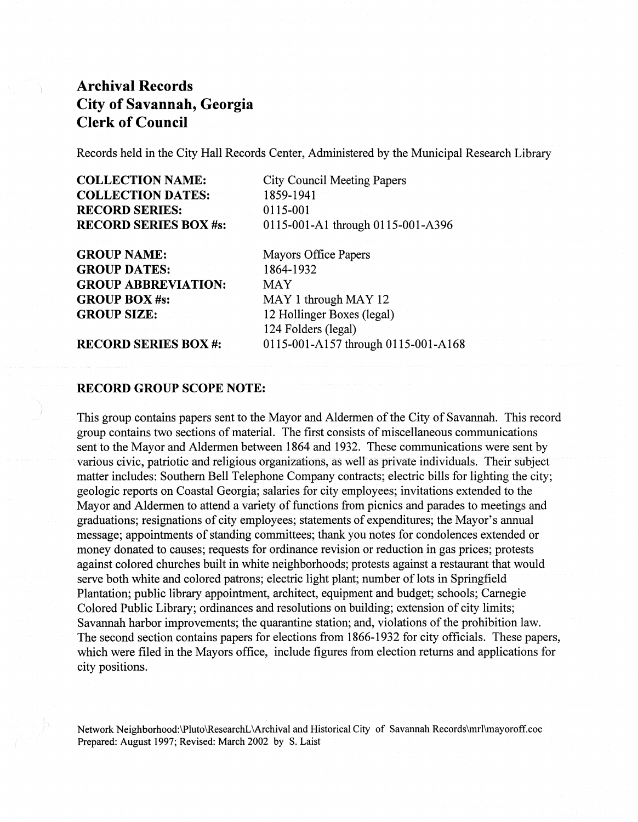Records held in the City Hall Records Center, Administered by the Municipal Research Library

GROUP NAME: GROUP DATES: GROUP ABBREVIATION: GROUP BOX #s: GROUP SIZE:

City Council Meeting Papers 1859-1941 0115-001 0Il5-00l-Al through 0115-001-A396

Mayors Office Papers 1864-1932 MAY MAY 1 through MAY 12 12 Hollinger Boxes (legal) 124 Folders (legal) 0115-001-A157 through 0115-001-AI68

RECORD SERIES BOX #:

### RECORD GROUP SCOPE NOTE:

This group contains papers sent to the Mayor and Aldermen of the City of Savannah. This record group contains two sections of material. The first consists of miscellaneous communications sent to the Mayor and Aldermen between 1864 and 1932. These communications were sent by various civic, patriotic and religious organizations, as well as private individuals. Their subject matter includes: Southern Bell Telephone Company contracts; electric bills for lighting the city; geologic reports on Coastal Georgia; salaries for city employees; invitations extended to the Mayor and Aldermen to attend a variety of functions from picnics and parades to meetings and graduations; resignations of city employees; statements of expenditures; the Mayor's annual message; appointments of standing committees; thank you notes for condolences extended or money donated to causes; requests for ordinance revision or reduction in gas prices; protests against colored churches built in white neighborhoods; protests against a restaurant that would serve both white and colored patrons; electric light plant; number of lots in Springfield Plantation; public library appointment, architect, equipment and budget; schools; Carnegie Colored Public Library; ordinances and resolutions on building; extension of city limits; Savannah harbor improvements; the quarantine station; and, violations of the prohibition law. The second section contains papers for elections from 1866-1932 for city officials. These papers, which were filed in the Mayors office, include figures from election returns and applications for city positions.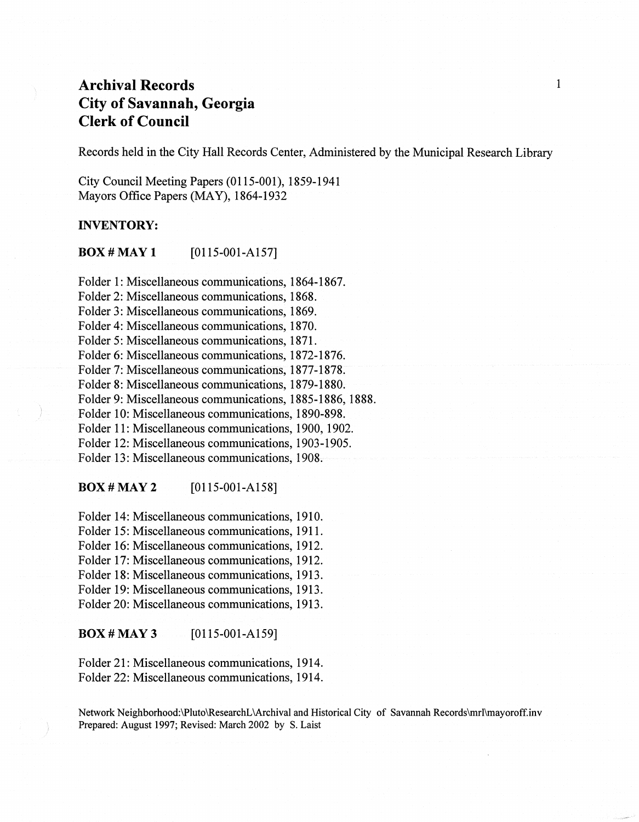Records held in the City Hall Records Center, Administered by the Municipal Research Library

City Council Meeting Papers (0115-001), 1859-1941 Mayors Office Papers (MAY), 1864-1932

### INVENTORY:

**BOX # MAY 1** [0115-001-A157]

Folder 1: Miscellaneous communications, 1864-1867. Folder 2: Miscellaneous communications, 1868. Folder 3: Miscellaneous communications, 1869. Folder 4: Miscellaneous communications, 1870. Folder 5: Miscellaneous communications, 1871. Folder 6: Miscellaneous communications, 1872-1876. Folder 7: Miscellaneous communications, 1877-1878. Folder 8: Miscellaneous communications, 1879-1880. Folder 9: Miscellaneous communications, 1885-1886, 1888. Folder 10: Miscellaneous communications, 1890-898. Folder 11: Miscellaneous communications, 1900, 1902. Folder 12: Miscellaneous communications, 1903-1905. Folder 13: Miscellaneous communications, 1908.

**BOX # MAY 2** [0115-001-A158]

Folder 14: Miscellaneous communications, 1910. Folder 15: Miscellaneous communications, 1911. Folder 16: Miscellaneous communications, 1912. Folder 17: Miscellaneous communications, 1912. Folder 18: Miscellaneous communications, 1913. Folder 19: Miscellaneous communications, 1913. Folder 20: Miscellaneous communications, 1913.

**BOX # MAY 3** [0115-001-A159]

Folder 21: Miscellaneous communications, 1914. Folder 22: Miscellaneous communications, 1914.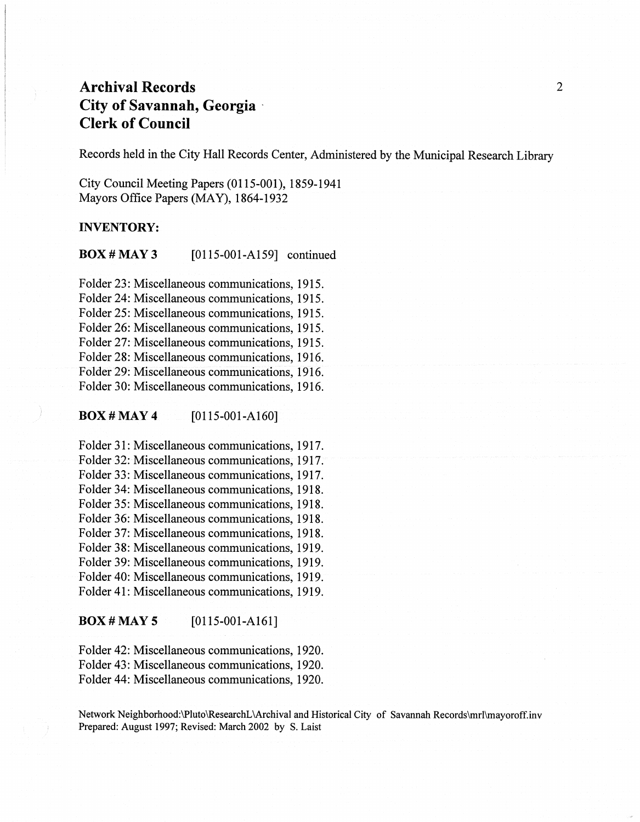Records held in the City Hall Records Center, Administered by the Municipal Research Library

City Council Meeting Papers (0115-001), 1859-1941 Mayors Office Papers (MAY), 1864-1932

### INVENTORY:

**BOX # MAY 3** [0115-001-A159] continued

Folder 23: Miscellaneous communications, 1915. Folder 24: Miscellaneous communications, 1915. Folder 25: Miscellaneous communications, 1915. Folder 26: Miscellaneous communications, 1915. Folder 27: Miscellaneous communications, 1915. Folder 28: Miscellaneous communications, 1916. Folder 29: Miscellaneous communications, 1916. Folder 30: Miscellaneous communications, 1916.

 $\bf{BOX}$  # MAY 4 [0115-001-A160]

Folder 31: Miscellaneous communications, 1917. Folder 32: Miscellaneous communications, 1917. Folder 33: Miscellaneous communications, 1917. Folder 34: Miscellaneous communications, 1918. Folder 35: Miscellaneous communications, 1918. Folder 36: Miscellaneous communications, 1918. Folder 37: Miscellaneous communications, 1918. Folder 38: Miscellaneous communications, 1919. Folder 39: Miscellaneous communications, 1919. Folder 40: Miscellaneous communications, 1919. Folder 41: Miscellaneous communications, 1919.

**BOX # MAY 5** [0115-001-A161]

Folder 42: Miscellaneous communications, 1920. Folder 43: Miscellaneous communications, 1920. Folder 44: Miscellaneous communications, 1920.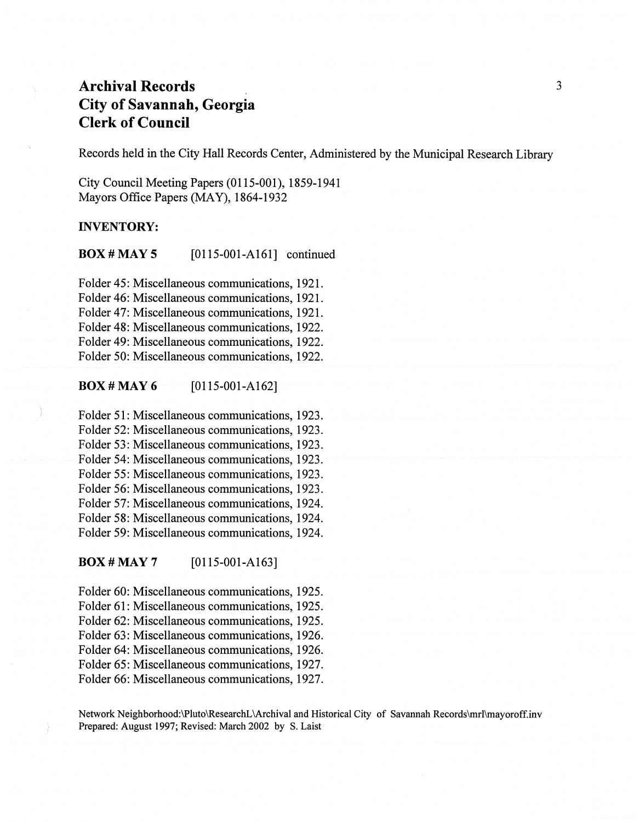Records held in the City Hall Records Center, Administered by the Municipal Research Library

City Council Meeting Papers (0115-001), 1859-1941 Mayors Office Papers (MAY), 1864-1932

#### INVENTORY:

**BOX # MAY 5** [0115-001-A161] continued

Folder 45: Miscellaneous communications, 1921. Folder 46: Miscellaneous communications, 1921. Folder 47: Miscellaneous communications, 1921. Folder 48: Miscellaneous communications, 1922. Folder 49: Miscellaneous communications, 1922. Folder 50: Miscellaneous communications, 1922.

### $\bf{BOX H}$  MAY 6 [0115-001-A162]

Folder 51: Miscellaneous communications, 1923. Folder 52: Miscellaneous communications, 1923. Folder 53: Miscellaneous communications, 1923. Folder.54: Miscellaneous communications, 1923. Folder 55: Miscellaneous communications, 1923. Folder 56: Miscellaneous communications, 1923. Folder 57: Miscellaneous communications, 1924. Folder 58: Miscellaneous communications, 1924. Folder 59: Miscellaneous communications, 1924.

**BOX # MAY 7** [0115-001-A163]

Folder 60: Miscellaneous communications, 1925. Folder 61: Miscellaneous communications, 1925. Folder 62: Miscellaneous communications, 1925. Folder 63: Miscellaneous communications, 1926. Folder 64: Miscellaneous communications, 1926. Folder 65: Miscellaneous communications, 1927. Folder 66: Miscellaneous communications, 1927.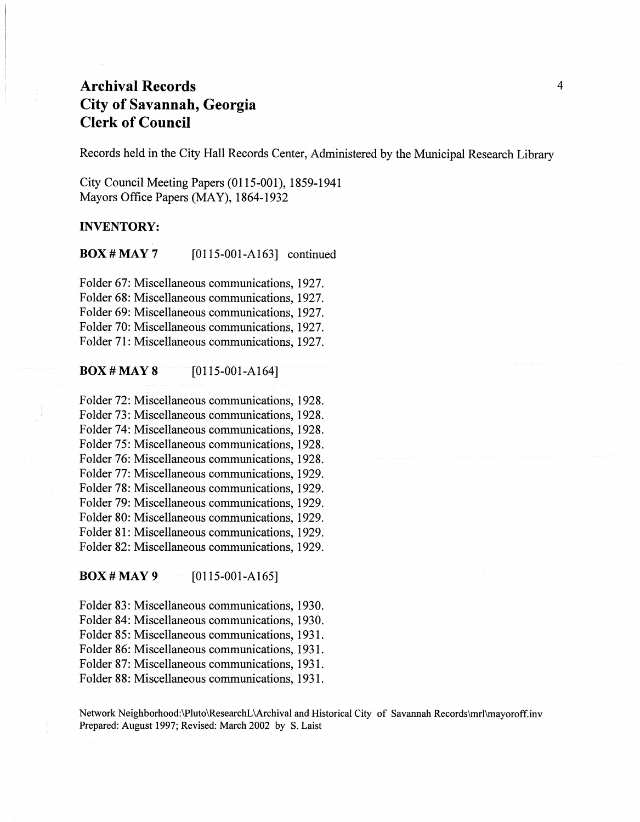Records held in the City Hall Records Center, Administered by the Municipal Research Library

City Council Meeting Papers (0115-001), 1859-1941 Mayors Office Papers (MAY), 1864-1932

### INVENTORY:

**BOX # MAY 7** [0115-001-A163] continued

Folder 67: Miscellaneous communications, 1927. Folder 68: Miscellaneous communications, 1927. Folder 69: Miscellaneous communications, 1927. Folder 70: Miscellaneous communications, 1927. Folder 71: Miscellaneous communications, 1927.

#### **BOX # MAY 8** [0115-001-A164]

Folder 72: Miscellaneous communications, 1928. Folder 73: Miscellaneous communications, 1928. Folder 74: Miscellaneous communications, 1928. Folder 75: Miscellaneous communications, 1928. Folder 76: Miscellaneous communications, 1928. Folder 77: Miscellaneous communications, 1929. Folder 78: Miscellaneous communications, 1929. Folder 79: Miscellaneous communications, 1929. Folder 80: Miscellaneous communications, 1929. Folder 81: Miscellaneous communications, 1929. Folder 82: Miscellaneous communications, 1929.

 $\bf{Box}$  # MAY 9 [0115-001-A165]

Folder 83: Miscellaneous communications, 1930. Folder 84: Miscellaneous communications, 1930. Folder 85: Miscellaneous communications, 1931. Folder 86: Miscellaneous communications, 1931. Folder 87: Miscellaneous communications, 1931. Folder 88: Miscellaneous communications, 1931.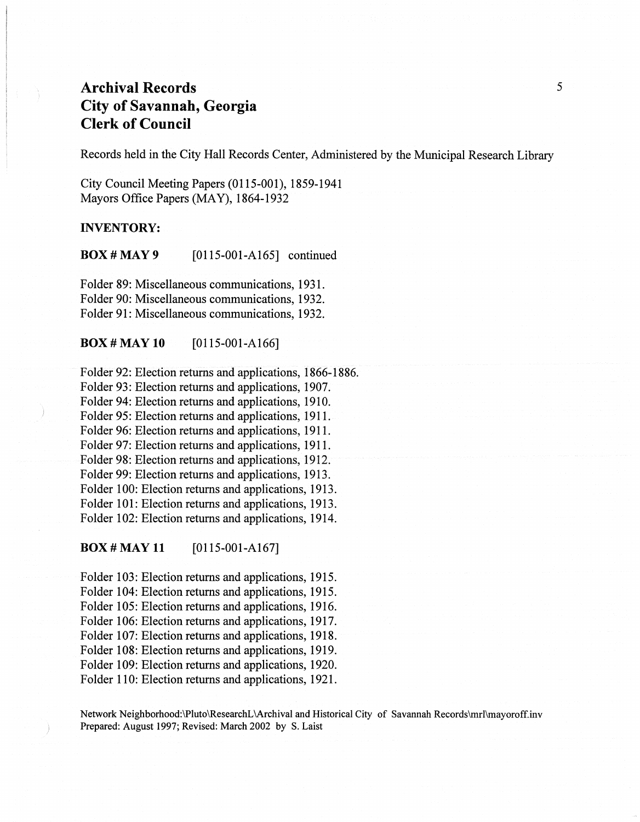Records held in the City Hall Records Center, Administered by the Municipal Research Library

City Council Meeting Papers (0115-001),1859-1941 Mayors Office Papers (MAY), 1864-1932

#### **INVENTORY:**

**BOX # MAY 9** [0115-001-A165] continued

Folder 89: Miscellaneous communications, 1931. Folder 90: Miscellaneous communications, 1932. Folder 91: Miscellaneous communications, 1932.

 $\bf{BOX}$  # MAY 10 [0115-001-A166]

Folder 92: Election returns and applications, 1866-1886. Folder 93: Election returns and applications, 1907. Folder 94: Election returns and applications, 1910. Folder 95: Election returns and applications, 1911. Folder 96: Election returns and applications, 1911. Folder 97: Election returns and applications, 1911. Folder 98: Election returns and applications, 1912. Folder 99: Election returns and applications, 1913. Folder 100: Election returns and applications, 1913. Folder 101: Election returns and applications, 1913. Folder 102: Election returns and applications, 1914.

 $\bf{BOX}$  # MAY 11 [0115-001-A167]

Folder 103: Election returns and applications, 1915. Folder 104: Election returns and applications, 1915. Folder 105: Election returns and applications, 1916. Folder 106: Election returns and applications, 1917. Folder 107: Election returns and applications, 1918. Folder 108: Election returns and applications, 1919. Folder 109: Election returns and applications, 1920. Folder 110: Election returns and applications, 1921.